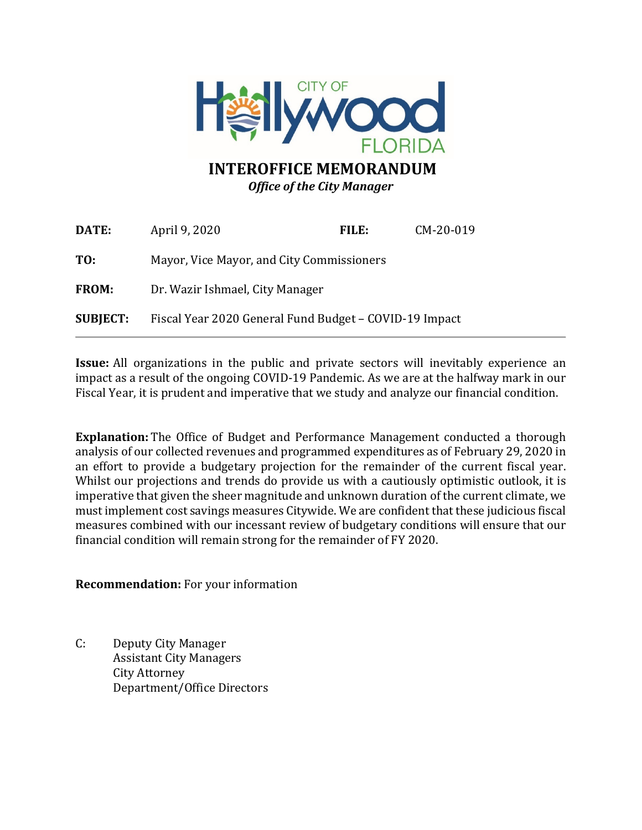

### **INTEROFFICE MEMORANDUM** *Office of the City Manager*

| DATE:           | April 9, 2020                                          | FILE: | CM-20-019 |
|-----------------|--------------------------------------------------------|-------|-----------|
| TO:             | Mayor, Vice Mayor, and City Commissioners              |       |           |
| FROM:           | Dr. Wazir Ishmael, City Manager                        |       |           |
| <b>SUBJECT:</b> | Fiscal Year 2020 General Fund Budget – COVID-19 Impact |       |           |

**Issue:** All organizations in the public and private sectors will inevitably experience an impact as a result of the ongoing COVID-19 Pandemic. As we are at the halfway mark in our Fiscal Year, it is prudent and imperative that we study and analyze our financial condition.

**Explanation:** The Office of Budget and Performance Management conducted a thorough analysis of our collected revenues and programmed expenditures as of February 29, 2020 in an effort to provide a budgetary projection for the remainder of the current fiscal year. Whilst our projections and trends do provide us with a cautiously optimistic outlook, it is imperative that given the sheer magnitude and unknown duration of the current climate, we must implement cost savings measures Citywide. We are confident that these judicious fiscal measures combined with our incessant review of budgetary conditions will ensure that our financial condition will remain strong for the remainder of FY 2020.

**Recommendation:** For your information

C: Deputy City Manager Assistant City Managers City Attorney Department/Office Directors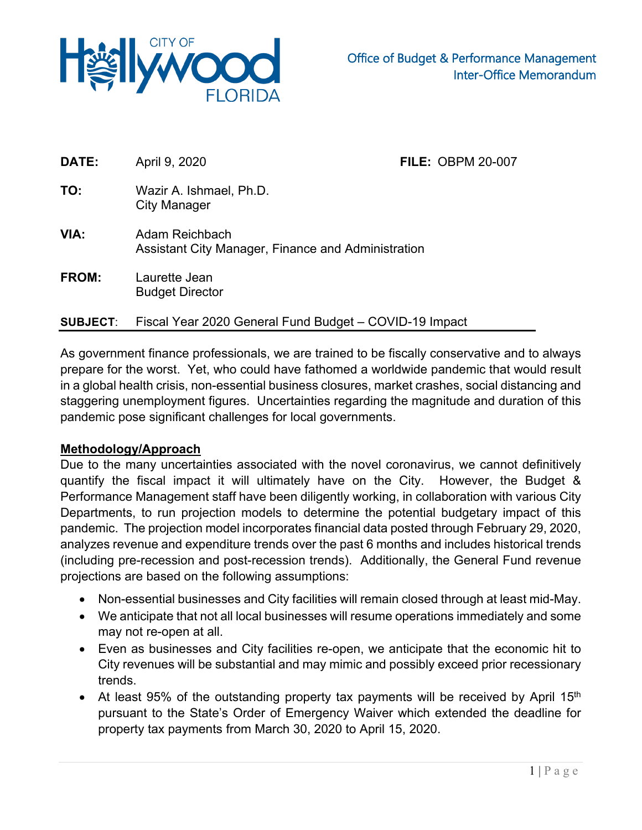

| DATE:           | April 9, 2020                                                        | <b>FILE: OBPM 20-007</b> |  |
|-----------------|----------------------------------------------------------------------|--------------------------|--|
| TO:             | Wazir A. Ishmael, Ph.D.<br>City Manager                              |                          |  |
| VIA:            | Adam Reichbach<br>Assistant City Manager, Finance and Administration |                          |  |
| FROM:           | Laurette Jean<br><b>Budget Director</b>                              |                          |  |
| <b>SUBJECT:</b> | Fiscal Year 2020 General Fund Budget - COVID-19 Impact               |                          |  |

As government finance professionals, we are trained to be fiscally conservative and to always prepare for the worst. Yet, who could have fathomed a worldwide pandemic that would result in a global health crisis, non-essential business closures, market crashes, social distancing and staggering unemployment figures. Uncertainties regarding the magnitude and duration of this pandemic pose significant challenges for local governments.

### **Methodology/Approach**

Due to the many uncertainties associated with the novel coronavirus, we cannot definitively quantify the fiscal impact it will ultimately have on the City. However, the Budget & Performance Management staff have been diligently working, in collaboration with various City Departments, to run projection models to determine the potential budgetary impact of this pandemic. The projection model incorporates financial data posted through February 29, 2020, analyzes revenue and expenditure trends over the past 6 months and includes historical trends (including pre-recession and post-recession trends). Additionally, the General Fund revenue projections are based on the following assumptions:

- Non-essential businesses and City facilities will remain closed through at least mid-May.
- We anticipate that not all local businesses will resume operations immediately and some may not re-open at all.
- Even as businesses and City facilities re-open, we anticipate that the economic hit to City revenues will be substantial and may mimic and possibly exceed prior recessionary trends.
- At least 95% of the outstanding property tax payments will be received by April 15<sup>th</sup> pursuant to the State's Order of Emergency Waiver which extended the deadline for property tax payments from March 30, 2020 to April 15, 2020.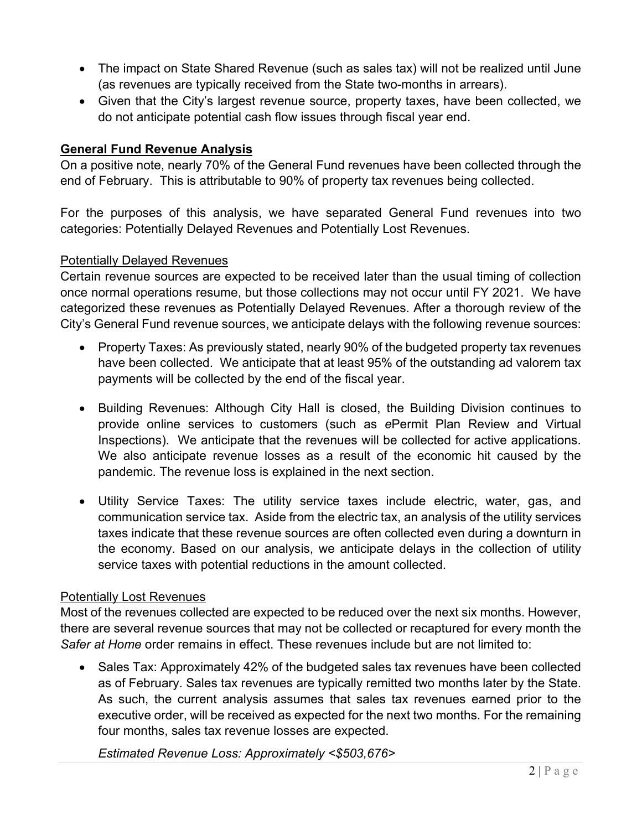- The impact on State Shared Revenue (such as sales tax) will not be realized until June (as revenues are typically received from the State two-months in arrears).
- Given that the City's largest revenue source, property taxes, have been collected, we do not anticipate potential cash flow issues through fiscal year end.

### **General Fund Revenue Analysis**

On a positive note, nearly 70% of the General Fund revenues have been collected through the end of February. This is attributable to 90% of property tax revenues being collected.

For the purposes of this analysis, we have separated General Fund revenues into two categories: Potentially Delayed Revenues and Potentially Lost Revenues.

#### Potentially Delayed Revenues

Certain revenue sources are expected to be received later than the usual timing of collection once normal operations resume, but those collections may not occur until FY 2021. We have categorized these revenues as Potentially Delayed Revenues. After a thorough review of the City's General Fund revenue sources, we anticipate delays with the following revenue sources:

- Property Taxes: As previously stated, nearly 90% of the budgeted property tax revenues have been collected. We anticipate that at least 95% of the outstanding ad valorem tax payments will be collected by the end of the fiscal year.
- Building Revenues: Although City Hall is closed, the Building Division continues to provide online services to customers (such as *e*Permit Plan Review and Virtual Inspections). We anticipate that the revenues will be collected for active applications. We also anticipate revenue losses as a result of the economic hit caused by the pandemic. The revenue loss is explained in the next section.
- Utility Service Taxes: The utility service taxes include electric, water, gas, and communication service tax. Aside from the electric tax, an analysis of the utility services taxes indicate that these revenue sources are often collected even during a downturn in the economy. Based on our analysis, we anticipate delays in the collection of utility service taxes with potential reductions in the amount collected.

#### Potentially Lost Revenues

Most of the revenues collected are expected to be reduced over the next six months. However, there are several revenue sources that may not be collected or recaptured for every month the *Safer at Home* order remains in effect. These revenues include but are not limited to:

• Sales Tax: Approximately 42% of the budgeted sales tax revenues have been collected as of February. Sales tax revenues are typically remitted two months later by the State. As such, the current analysis assumes that sales tax revenues earned prior to the executive order, will be received as expected for the next two months. For the remaining four months, sales tax revenue losses are expected.

*Estimated Revenue Loss: Approximately <\$503,676>*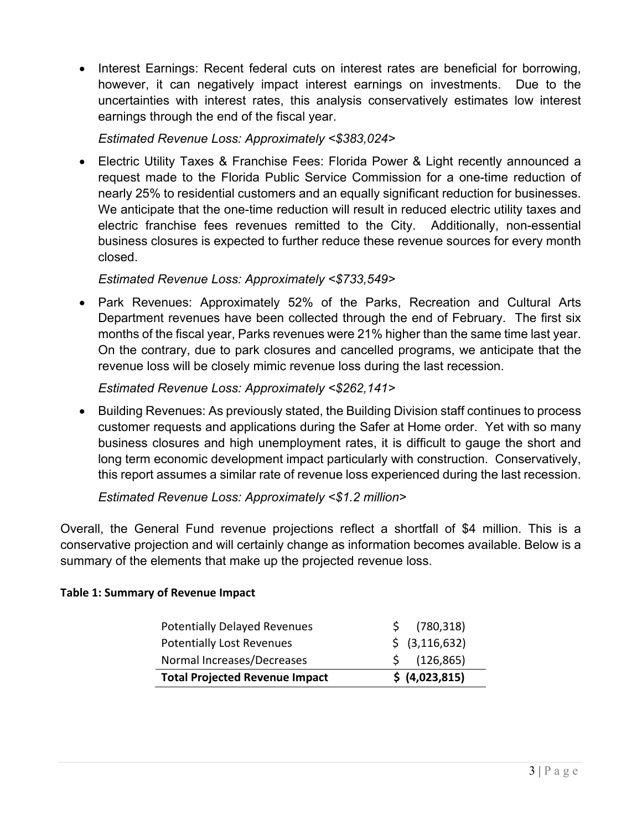• Interest Earnings: Recent federal cuts on interest rates are beneficial for borrowing, however, it can negatively impact interest earnings on investments. Due to the uncertainties with interest rates, this analysis conservatively estimates low interest earnings through the end of the fiscal year.

*Estimated Revenue Loss: Approximately <\$383,024>* 

• Electric Utility Taxes & Franchise Fees: Florida Power & Light recently announced a request made to the Florida Public Service Commission for a one-time reduction of nearly 25% to residential customers and an equally significant reduction for businesses. We anticipate that the one-time reduction will result in reduced electric utility taxes and electric franchise fees revenues remitted to the City. Additionally, non-essential business closures is expected to further reduce these revenue sources for every month closed.

# *Estimated Revenue Loss: Approximately <\$733,549>*

• Park Revenues: Approximately 52% of the Parks, Recreation and Cultural Arts Department revenues have been collected through the end of February. The first six months of the fiscal year, Parks revenues were 21% higher than the same time last year. On the contrary, due to park closures and cancelled programs, we anticipate that the revenue loss will be closely mimic revenue loss during the last recession.

# *Estimated Revenue Loss: Approximately <\$262,141>*

• Building Revenues: As previously stated, the Building Division staff continues to process customer requests and applications during the Safer at Home order. Yet with so many business closures and high unemployment rates, it is difficult to gauge the short and long term economic development impact particularly with construction. Conservatively, this report assumes a similar rate of revenue loss experienced during the last recession.

# *Estimated Revenue Loss: Approximately <\$1.2 million>*

Overall, the General Fund revenue projections reflect a shortfall of \$4 million. This is a conservative projection and will certainly change as information becomes available. Below is a summary of the elements that make up the projected revenue loss.

### **Table 1: Summary of Revenue Impact**

| <b>Potentially Delayed Revenues</b>   | (780, 318)                |
|---------------------------------------|---------------------------|
| <b>Potentially Lost Revenues</b>      | $\frac{1}{2}$ (3,116,632) |
| Normal Increases/Decreases            | $\frac{1}{2}$ (126,865)   |
| <b>Total Projected Revenue Impact</b> | \$ (4,023,815)            |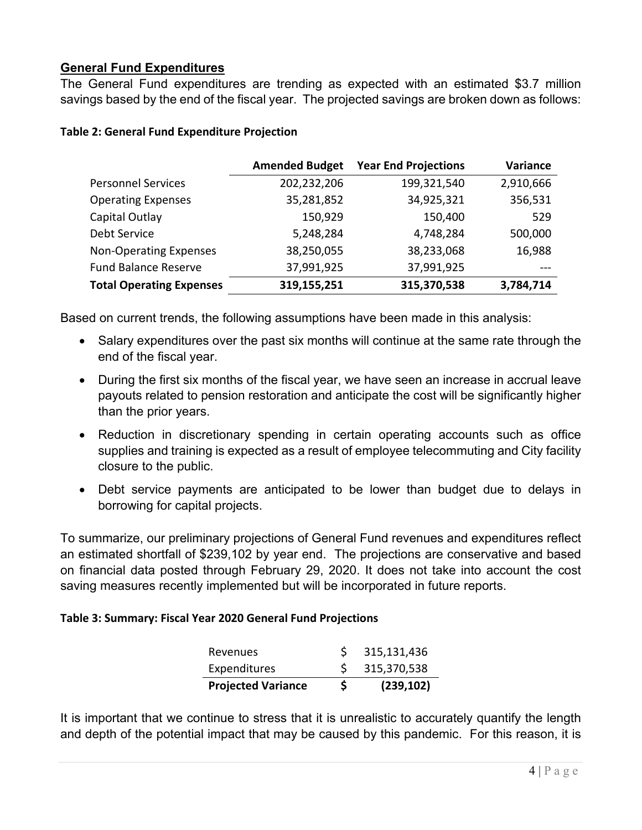# **General Fund Expenditures**

The General Fund expenditures are trending as expected with an estimated \$3.7 million savings based by the end of the fiscal year. The projected savings are broken down as follows:

|                                 | <b>Amended Budget</b> | <b>Year End Projections</b> | Variance  |
|---------------------------------|-----------------------|-----------------------------|-----------|
| <b>Personnel Services</b>       | 202,232,206           | 199,321,540                 | 2,910,666 |
| <b>Operating Expenses</b>       | 35,281,852            | 34,925,321                  | 356,531   |
| Capital Outlay                  | 150,929               | 150,400                     | 529       |
| Debt Service                    | 5,248,284             | 4,748,284                   | 500,000   |
| <b>Non-Operating Expenses</b>   | 38,250,055            | 38,233,068                  | 16,988    |
| <b>Fund Balance Reserve</b>     | 37,991,925            | 37,991,925                  |           |
| <b>Total Operating Expenses</b> | 319,155,251           | 315,370,538                 | 3,784,714 |

#### **Table 2: General Fund Expenditure Projection**

Based on current trends, the following assumptions have been made in this analysis:

- Salary expenditures over the past six months will continue at the same rate through the end of the fiscal year.
- During the first six months of the fiscal year, we have seen an increase in accrual leave payouts related to pension restoration and anticipate the cost will be significantly higher than the prior years.
- Reduction in discretionary spending in certain operating accounts such as office supplies and training is expected as a result of employee telecommuting and City facility closure to the public.
- Debt service payments are anticipated to be lower than budget due to delays in borrowing for capital projects.

To summarize, our preliminary projections of General Fund revenues and expenditures reflect an estimated shortfall of \$239,102 by year end. The projections are conservative and based on financial data posted through February 29, 2020. It does not take into account the cost saving measures recently implemented but will be incorporated in future reports.

### **Table 3: Summary: Fiscal Year 2020 General Fund Projections**

| Revenues                  | S.       | 315,131,436   |
|---------------------------|----------|---------------|
| Expenditures              |          | \$315,370,538 |
| <b>Projected Variance</b> | <b>S</b> | (239, 102)    |

It is important that we continue to stress that it is unrealistic to accurately quantify the length and depth of the potential impact that may be caused by this pandemic. For this reason, it is